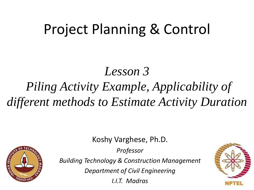# Project Planning & Control

### *Lesson 3 Piling Activity Example, Applicability of different methods to Estimate Activity Duration*

Koshy Varghese, Ph.D.

**STAN INSTER** 

*Professor*

*Building Technology & Construction Management*

*Department of Civil Engineering*

*I.I.T. Madras*

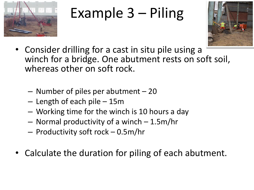

# Example 3 – Piling



- Consider drilling for a cast in situ pile using a winch for a bridge. One abutment rests on soft soil, whereas other on soft rock.
	- Number of piles per abutment 20
	- Length of each pile 15m
	- Working time for the winch is 10 hours a day
	- Normal productivity of a winch 1.5m/hr
	- Productivity soft rock 0.5m/hr
- Calculate the duration for piling of each abutment.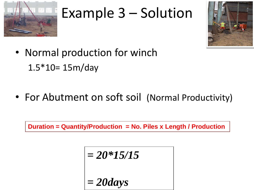

# Example 3 – Solution



- Normal production for winch 1.5\*10= 15m/day
- For Abutment on soft soil (Normal Productivity)

**Duration = Quantity/Production = No. Piles x Length / Production** 

$$
= 20*15/15
$$

$$
= 20 \text{days}
$$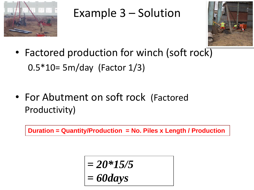

### Example 3 – Solution



- Factored production for winch (soft rock) 0.5\*10= 5m/day (Factor 1/3)
- For Abutment on soft rock (Factored Productivity)

**Duration = Quantity/Production = No. Piles x Length / Production** 

$$
= 20*15/5
$$
  
= 60 days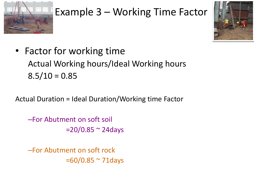

### Example 3 – Working Time Factor



• Factor for working time Actual Working hours/Ideal Working hours  $8.5/10 = 0.85$ 

Actual Duration = Ideal Duration/Working time Factor

–For Abutment on soft soil  $=20/0.85$   $\sim$  24days

–For Abutment on soft rock  $=60/0.85$   $\sim$  71 days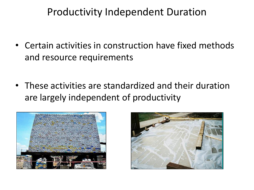#### Productivity Independent Duration

- Certain activities in construction have fixed methods and resource requirements
- These activities are standardized and their duration are largely independent of productivity



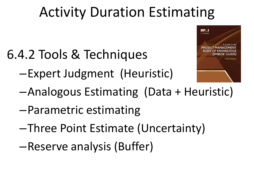# Activity Duration Estimating

- 6.4.2 Tools & Techniques
	- –Expert Judgment (Heuristic)



- –Analogous Estimating (Data + Heuristic)
- –Parametric estimating
- –Three Point Estimate (Uncertainty)
- –Reserve analysis (Buffer)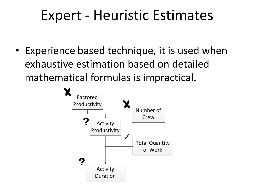## Expert - Heuristic Estimates

• Experience based technique, it is used when exhaustive estimation based on detailed mathematical formulas is impractical.

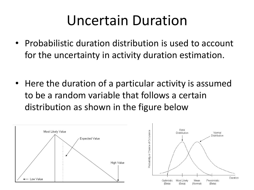## Uncertain Duration

- Probabilistic duration distribution is used to account for the uncertainty in activity duration estimation.
- Here the duration of a particular activity is assumed to be a random variable that follows a certain distribution as shown in the figure below